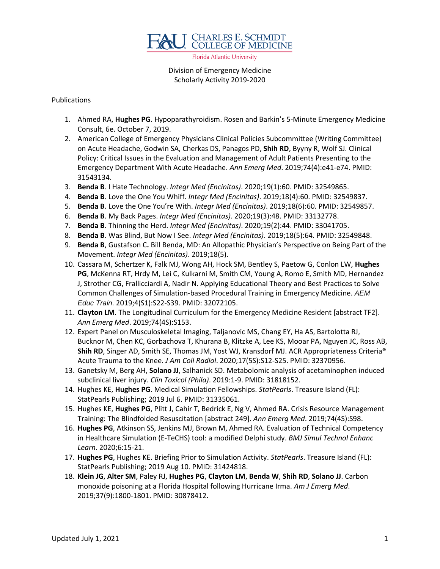

Florida Atlantic University

Division of Emergency Medicine Scholarly Activity 2019-2020

## Publications

- 1. Ahmed RA, **Hughes PG**. Hypoparathyroidism. Rosen and Barkin's 5-Minute Emergency Medicine Consult, 6e. October 7, 2019.
- 2. American College of Emergency Physicians Clinical Policies Subcommittee (Writing Committee) on Acute Headache, Godwin SA, Cherkas DS, Panagos PD, **Shih RD**, Byyny R, Wolf SJ. Clinical Policy: Critical Issues in the Evaluation and Management of Adult Patients Presenting to the Emergency Department With Acute Headache. *Ann Emerg Med*. 2019;74(4):e41-e74. PMID: 31543134.
- 3. **Benda B**. I Hate Technology. *Integr Med (Encinitas)*. 2020;19(1):60. PMID: 32549865.
- 4. **Benda B**. Love the One You Whiff. *Integr Med (Encinitas)*. 2019;18(4):60. PMID: 32549837.
- 5. **Benda B**. Love the One You're With. *Integr Med (Encinitas)*. 2019;18(6):60. PMID: 32549857.
- 6. **Benda B**. My Back Pages. *Integr Med (Encinitas)*. 2020;19(3):48. PMID: 33132778.
- 7. **Benda B**. Thinning the Herd. *Integr Med (Encinitas)*. 2020;19(2):44. PMID: 33041705.
- 8. **Benda B**. Was Blind, But Now I See. *Integr Med (Encinitas)*. 2019;18(5):64. PMID: 32549848.
- 9. **Benda B**, Gustafson C**.** Bill Benda, MD: An Allopathic Physician's Perspective on Being Part of the Movement. *Integr Med (Encinitas)*. 2019;18(5).
- 10. Cassara M, Schertzer K, Falk MJ, Wong AH, Hock SM, Bentley S, Paetow G, Conlon LW, **Hughes PG**, McKenna RT, Hrdy M, Lei C, Kulkarni M, Smith CM, Young A, Romo E, Smith MD, Hernandez J, Strother CG, Frallicciardi A, Nadir N. Applying Educational Theory and Best Practices to Solve Common Challenges of Simulation‐based Procedural Training in Emergency Medicine. *AEM Educ Train*. 2019;4(S1):S22-S39. PMID: 32072105.
- 11. **Clayton LM**. The Longitudinal Curriculum for the Emergency Medicine Resident [abstract TF2]. *Ann Emerg Med*. 2019;74(4S):S153.
- 12. Expert Panel on Musculoskeletal Imaging, Taljanovic MS, Chang EY, Ha AS, Bartolotta RJ, Bucknor M, Chen KC, Gorbachova T, Khurana B, Klitzke A, Lee KS, Mooar PA, Nguyen JC, Ross AB, **Shih RD**, Singer AD, Smith SE, Thomas JM, Yost WJ, Kransdorf MJ. ACR Appropriateness Criteria® Acute Trauma to the Knee. *J Am Coll Radiol*. 2020;17(5S):S12-S25. PMID: 32370956.
- 13. Ganetsky M, Berg AH, **Solano JJ**, Salhanick SD. Metabolomic analysis of acetaminophen induced subclinical liver injury. *Clin Toxicol (Phila)*. 2019:1-9. PMID: 31818152.
- 14. Hughes KE, **Hughes PG**. Medical Simulation Fellowships. *StatPearls*. Treasure Island (FL): StatPearls Publishing; 2019 Jul 6. PMID: 31335061.
- 15. Hughes KE, **Hughes PG**, Plitt J, Cahir T, Bedrick E, Ng V, Ahmed RA. Crisis Resource Management Training: The Blindfolded Resuscitation [abstract 249]. *Ann Emerg Med*. 2019;74(4S):S98.
- 16. **Hughes PG**, Atkinson SS, Jenkins MJ, Brown M, Ahmed RA. Evaluation of Technical Competency in Healthcare Simulation (E-TeCHS) tool: a modified Delphi study. *BMJ Simul Technol Enhanc Learn*. 2020;6:15-21.
- 17. **Hughes PG**, Hughes KE. Briefing Prior to Simulation Activity. *StatPearls*. Treasure Island (FL): StatPearls Publishing; 2019 Aug 10. PMID: 31424818.
- 18. **Klein JG**, **Alter SM**, Paley RJ, **Hughes PG**, **Clayton LM**, **Benda W**, **Shih RD**, **Solano JJ**. Carbon monoxide poisoning at a Florida Hospital following Hurricane Irma. *Am J Emerg Med*. 2019;37(9):1800-1801. PMID: 30878412.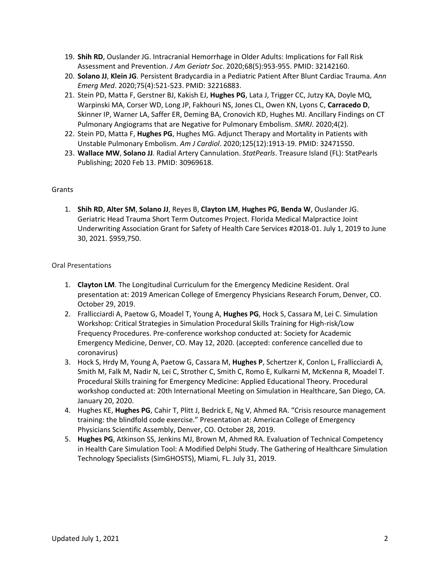- 19. **Shih RD**, Ouslander JG. Intracranial Hemorrhage in Older Adults: Implications for Fall Risk Assessment and Prevention. *J Am Geriatr Soc*. 2020;68(5):953-955. PMID: 32142160.
- 20. **Solano JJ**, **Klein JG**. Persistent Bradycardia in a Pediatric Patient After Blunt Cardiac Trauma. *Ann Emerg Med*. 2020;75(4):521-523. PMID: 32216883.
- 21. Stein PD, Matta F, Gerstner BJ, Kakish EJ, **Hughes PG**, Lata J, Trigger CC, Jutzy KA, Doyle MQ, Warpinski MA, Corser WD, Long JP, Fakhouri NS, Jones CL, Owen KN, Lyons C, **Carracedo D**, Skinner IP, Warner LA, Saffer ER, Deming BA, Cronovich KD, Hughes MJ. Ancillary Findings on CT Pulmonary Angiograms that are Negative for Pulmonary Embolism. *SMRJ*. 2020;4(2).
- 22. Stein PD, Matta F, **Hughes PG**, Hughes MG. Adjunct Therapy and Mortality in Patients with Unstable Pulmonary Embolism. *Am J Cardiol*. 2020;125(12):1913‐19. PMID: 32471550.
- 23. **Wallace MW**, **Solano JJ**. Radial Artery Cannulation. *StatPearls*. Treasure Island (FL): StatPearls Publishing; 2020 Feb 13. PMID: 30969618.

## Grants

1. **Shih RD**, **Alter SM**, **Solano JJ**, Reyes B, **Clayton LM**, **Hughes PG**, **Benda W**, Ouslander JG. Geriatric Head Trauma Short Term Outcomes Project. Florida Medical Malpractice Joint Underwriting Association Grant for Safety of Health Care Services #2018-01. July 1, 2019 to June 30, 2021. \$959,750.

## Oral Presentations

- 1. **Clayton LM**. The Longitudinal Curriculum for the Emergency Medicine Resident. Oral presentation at: 2019 American College of Emergency Physicians Research Forum, Denver, CO. October 29, 2019.
- 2. Frallicciardi A, Paetow G, Moadel T, Young A, **Hughes PG**, Hock S, Cassara M, Lei C. Simulation Workshop: Critical Strategies in Simulation Procedural Skills Training for High-risk/Low Frequency Procedures. Pre-conference workshop conducted at: Society for Academic Emergency Medicine, Denver, CO. May 12, 2020. (accepted: conference cancelled due to coronavirus)
- 3. Hock S, Hrdy M, Young A, Paetow G, Cassara M, **Hughes P**, Schertzer K, Conlon L, Frallicciardi A, Smith M, Falk M, Nadir N, Lei C, Strother C, Smith C, Romo E, Kulkarni M, McKenna R, Moadel T. Procedural Skills training for Emergency Medicine: Applied Educational Theory. Procedural workshop conducted at: 20th International Meeting on Simulation in Healthcare, San Diego, CA. January 20, 2020.
- 4. Hughes KE, **Hughes PG**, Cahir T, Plitt J, Bedrick E, Ng V, Ahmed RA. "Crisis resource management training: the blindfold code exercise." Presentation at: American College of Emergency Physicians Scientific Assembly, Denver, CO. October 28, 2019.
- 5. **Hughes PG**, Atkinson SS, Jenkins MJ, Brown M, Ahmed RA. Evaluation of Technical Competency in Health Care Simulation Tool: A Modified Delphi Study. The Gathering of Healthcare Simulation Technology Specialists (SimGHOSTS), Miami, FL. July 31, 2019.